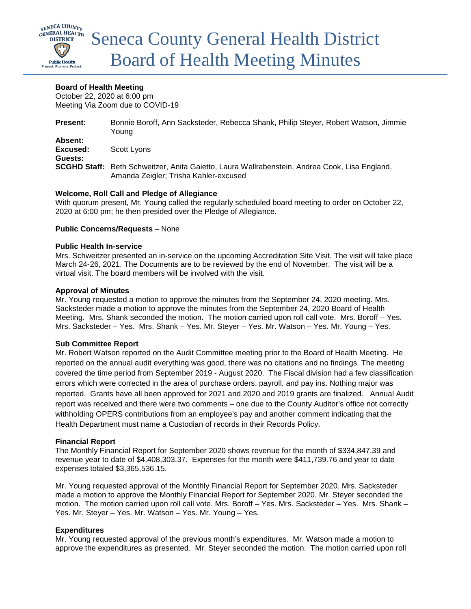

### **Board of Health Meeting**

October 22, 2020 at 6:00 pm Meeting Via Zoom due to COVID-19

| <b>Present:</b>                | Bonnie Boroff, Ann Sacksteder, Rebecca Shank, Philip Steyer, Robert Watson, Jimmie<br>Young                                            |
|--------------------------------|----------------------------------------------------------------------------------------------------------------------------------------|
| Absent:<br>Excused:<br>Guests: | Scott Lyons                                                                                                                            |
|                                | SCGHD Staff: Beth Schweitzer, Anita Gaietto, Laura Wallrabenstein, Andrea Cook, Lisa England,<br>Amanda Zeigler; Trisha Kahler-excused |

### **Welcome, Roll Call and Pledge of Allegiance**

With quorum present, Mr. Young called the regularly scheduled board meeting to order on October 22, 2020 at 6:00 pm; he then presided over the Pledge of Allegiance.

### **Public Concerns/Requests** – None

### **Public Health In-service**

Mrs. Schweitzer presented an in-service on the upcoming Accreditation Site Visit. The visit will take place March 24-26, 2021. The Documents are to be reviewed by the end of November. The visit will be a virtual visit. The board members will be involved with the visit.

### **Approval of Minutes**

Mr. Young requested a motion to approve the minutes from the September 24, 2020 meeting. Mrs. Sacksteder made a motion to approve the minutes from the September 24, 2020 Board of Health Meeting. Mrs. Shank seconded the motion. The motion carried upon roll call vote. Mrs. Boroff – Yes. Mrs. Sacksteder – Yes. Mrs. Shank – Yes. Mr. Steyer – Yes. Mr. Watson – Yes. Mr. Young – Yes.

### **Sub Committee Report**

Mr. Robert Watson reported on the Audit Committee meeting prior to the Board of Health Meeting. He reported on the annual audit everything was good, there was no citations and no findings. The meeting covered the time period from September 2019 - August 2020. The Fiscal division had a few classification errors which were corrected in the area of purchase orders, payroll, and pay ins. Nothing major was reported. Grants have all been approved for 2021 and 2020 and 2019 grants are finalized. Annual Audit report was received and there were two comments – one due to the County Auditor's office not correctly withholding OPERS contributions from an employee's pay and another comment indicating that the Health Department must name a Custodian of records in their Records Policy.

## **Financial Report**

The Monthly Financial Report for September 2020 shows revenue for the month of \$334,847.39 and revenue year to date of \$4,408,303.37. Expenses for the month were \$411,739.76 and year to date expenses totaled \$3,365,536.15.

Mr. Young requested approval of the Monthly Financial Report for September 2020. Mrs. Sacksteder made a motion to approve the Monthly Financial Report for September 2020. Mr. Steyer seconded the motion. The motion carried upon roll call vote. Mrs. Boroff – Yes. Mrs. Sacksteder – Yes. Mrs. Shank – Yes. Mr. Steyer – Yes. Mr. Watson – Yes. Mr. Young – Yes.

## **Expenditures**

Mr. Young requested approval of the previous month's expenditures. Mr. Watson made a motion to approve the expenditures as presented. Mr. Steyer seconded the motion. The motion carried upon roll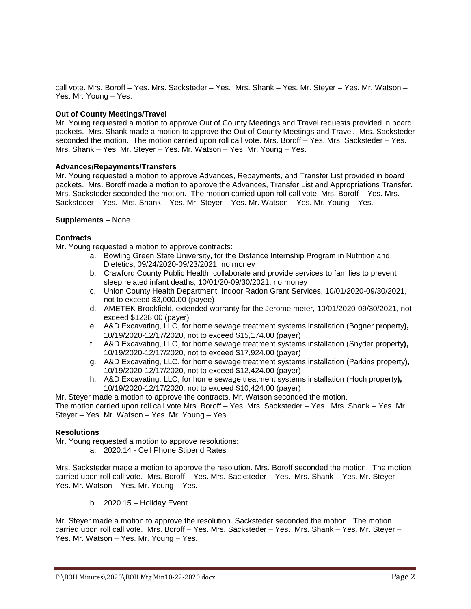call vote. Mrs. Boroff – Yes. Mrs. Sacksteder – Yes. Mrs. Shank – Yes. Mr. Steyer – Yes. Mr. Watson – Yes. Mr. Young – Yes.

### **Out of County Meetings/Travel**

Mr. Young requested a motion to approve Out of County Meetings and Travel requests provided in board packets. Mrs. Shank made a motion to approve the Out of County Meetings and Travel. Mrs. Sacksteder seconded the motion. The motion carried upon roll call vote. Mrs. Boroff – Yes. Mrs. Sacksteder – Yes. Mrs. Shank – Yes. Mr. Steyer – Yes. Mr. Watson – Yes. Mr. Young – Yes.

#### **Advances/Repayments/Transfers**

Mr. Young requested a motion to approve Advances, Repayments, and Transfer List provided in board packets. Mrs. Boroff made a motion to approve the Advances, Transfer List and Appropriations Transfer. Mrs. Sacksteder seconded the motion. The motion carried upon roll call vote. Mrs. Boroff – Yes. Mrs. Sacksteder – Yes. Mrs. Shank – Yes. Mr. Steyer – Yes. Mr. Watson – Yes. Mr. Young – Yes.

#### **Supplements** – None

#### **Contracts**

Mr. Young requested a motion to approve contracts:

- a. Bowling Green State University, for the Distance Internship Program in Nutrition and Dietetics, 09/24/2020-09/23/2021, no money
- b. Crawford County Public Health, collaborate and provide services to families to prevent sleep related infant deaths, 10/01/20-09/30/2021, no money
- c. Union County Health Department, Indoor Radon Grant Services, 10/01/2020-09/30/2021, not to exceed \$3,000.00 (payee)
- d. AMETEK Brookfield, extended warranty for the Jerome meter, 10/01/2020-09/30/2021, not exceed \$1238.00 (payer)
- e. A&D Excavating, LLC, for home sewage treatment systems installation (Bogner property**),**  10/19/2020-12/17/2020, not to exceed \$15,174.00 (payer)
- f. A&D Excavating, LLC, for home sewage treatment systems installation (Snyder property**),**  10/19/2020-12/17/2020, not to exceed \$17,924.00 (payer)
- g. A&D Excavating, LLC, for home sewage treatment systems installation (Parkins property**),**  10/19/2020-12/17/2020, not to exceed \$12,424.00 (payer)
- h. A&D Excavating, LLC, for home sewage treatment systems installation (Hoch property**),**  10/19/2020-12/17/2020, not to exceed \$10,424.00 (payer)

Mr. Steyer made a motion to approve the contracts. Mr. Watson seconded the motion.

The motion carried upon roll call vote Mrs. Boroff – Yes. Mrs. Sacksteder – Yes. Mrs. Shank – Yes. Mr. Steyer – Yes. Mr. Watson – Yes. Mr. Young – Yes.

#### **Resolutions**

Mr. Young requested a motion to approve resolutions:

a. 2020.14 - Cell Phone Stipend Rates

Mrs. Sacksteder made a motion to approve the resolution. Mrs. Boroff seconded the motion. The motion carried upon roll call vote. Mrs. Boroff – Yes. Mrs. Sacksteder – Yes. Mrs. Shank – Yes. Mr. Steyer – Yes. Mr. Watson – Yes. Mr. Young – Yes.

b. 2020.15 – Holiday Event

Mr. Steyer made a motion to approve the resolution. Sacksteder seconded the motion. The motion carried upon roll call vote. Mrs. Boroff – Yes. Mrs. Sacksteder – Yes. Mrs. Shank – Yes. Mr. Steyer – Yes. Mr. Watson – Yes. Mr. Young – Yes.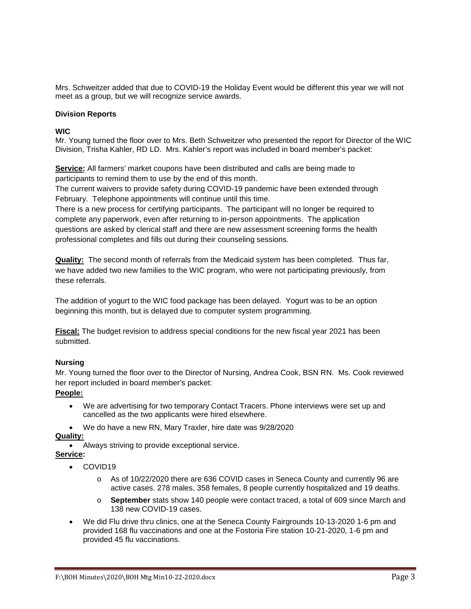Mrs. Schweitzer added that due to COVID-19 the Holiday Event would be different this year we will not meet as a group, but we will recognize service awards.

### **Division Reports**

### **WIC**

Mr. Young turned the floor over to Mrs. Beth Schweitzer who presented the report for Director of the WIC Division, Trisha Kahler, RD LD. Mrs. Kahler's report was included in board member's packet:

**Service:** All farmers' market coupons have been distributed and calls are being made to participants to remind them to use by the end of this month.

The current waivers to provide safety during COVID-19 pandemic have been extended through February. Telephone appointments will continue until this time.

There is a new process for certifying participants. The participant will no longer be required to complete any paperwork, even after returning to in-person appointments. The application questions are asked by clerical staff and there are new assessment screening forms the health professional completes and fills out during their counseling sessions.

**Quality:** The second month of referrals from the Medicaid system has been completed. Thus far, we have added two new families to the WIC program, who were not participating previously, from these referrals.

The addition of yogurt to the WIC food package has been delayed. Yogurt was to be an option beginning this month, but is delayed due to computer system programming.

**Fiscal:** The budget revision to address special conditions for the new fiscal year 2021 has been submitted.

## **Nursing**

Mr. Young turned the floor over to the Director of Nursing, Andrea Cook, BSN RN. Ms. Cook reviewed her report included in board member's packet:

# **People:**

- We are advertising for two temporary Contact Tracers. Phone interviews were set up and cancelled as the two applicants were hired elsewhere.
- We do have a new RN, Mary Traxler, hire date was 9/28/2020

# **Quality:**

• Always striving to provide exceptional service.

## **Service:**

- COVID19
	- o As of 10/22/2020 there are 636 COVID cases in Seneca County and currently 96 are active cases. 278 males, 358 females, 8 people currently hospitalized and 19 deaths.
	- o **September** stats show 140 people were contact traced, a total of 609 since March and 138 new COVID-19 cases.
- We did Flu drive thru clinics, one at the Seneca County Fairgrounds 10-13-2020 1-6 pm and provided 168 flu vaccinations and one at the Fostoria Fire station 10-21-2020, 1-6 pm and provided 45 flu vaccinations.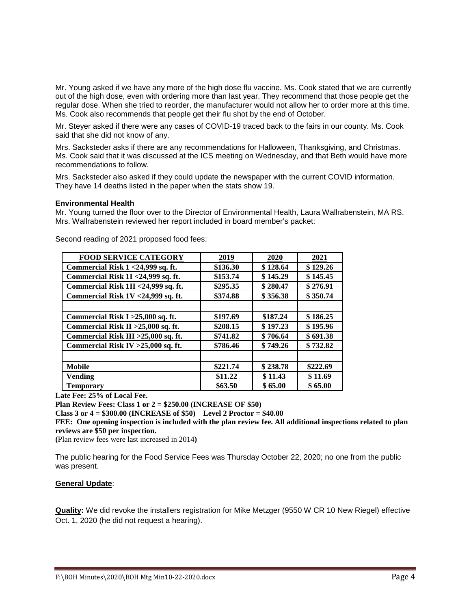Mr. Young asked if we have any more of the high dose flu vaccine. Ms. Cook stated that we are currently out of the high dose, even with ordering more than last year. They recommend that those people get the regular dose. When she tried to reorder, the manufacturer would not allow her to order more at this time. Ms. Cook also recommends that people get their flu shot by the end of October.

Mr. Steyer asked if there were any cases of COVID-19 traced back to the fairs in our county. Ms. Cook said that she did not know of any.

Mrs. Sacksteder asks if there are any recommendations for Halloween, Thanksgiving, and Christmas. Ms. Cook said that it was discussed at the ICS meeting on Wednesday, and that Beth would have more recommendations to follow.

Mrs. Sacksteder also asked if they could update the newspaper with the current COVID information. They have 14 deaths listed in the paper when the stats show 19.

#### **Environmental Health**

Mr. Young turned the floor over to the Director of Environmental Health, Laura Wallrabenstein, MA RS. Mrs. Wallrabenstein reviewed her report included in board member's packet:

| <b>FOOD SERVICE CATEGORY</b>         | 2019     | 2020     | 2021     |
|--------------------------------------|----------|----------|----------|
| Commercial Risk 1 < 24,999 sq. ft.   | \$136.30 | \$128.64 | \$129.26 |
| Commercial Risk 1I <24,999 sq. ft.   | \$153.74 | \$145.29 | \$145.45 |
| Commercial Risk 1II <24,999 sq. ft.  | \$295.35 | \$280.47 | \$276.91 |
| Commercial Risk 1V <24,999 sq. ft.   | \$374.88 | \$356.38 | \$350.74 |
|                                      |          |          |          |
| Commercial Risk I > 25,000 sq. ft.   | \$197.69 | \$187.24 | \$186.25 |
| Commercial Risk II > 25,000 sq. ft.  | \$208.15 | \$197.23 | \$195.96 |
| Commercial Risk III > 25,000 sq. ft. | \$741.82 | \$706.64 | \$691.38 |
| Commercial Risk IV $>25,000$ sq. ft. | \$786.46 | \$749.26 | \$732.82 |
|                                      |          |          |          |
| <b>Mobile</b>                        | \$221.74 | \$238.78 | \$222.69 |
| <b>Vending</b>                       | \$11.22  | \$11.43  | \$11.69  |
| <b>Temporary</b>                     | \$63.50  | \$65.00  | \$65.00  |

Second reading of 2021 proposed food fees:

**Late Fee: 25% of Local Fee.**

**Plan Review Fees: Class 1 or 2 = \$250.00 (INCREASE OF \$50)**

**Class 3 or 4 = \$300.00 (INCREASE of \$50) Level 2 Proctor = \$40.00**

**FEE: One opening inspection is included with the plan review fee. All additional inspections related to plan reviews are \$50 per inspection.**

**(**Plan review fees were last increased in 2014**)**

The public hearing for the Food Service Fees was Thursday October 22, 2020; no one from the public was present.

### **General Update**:

**Quality:** We did revoke the installers registration for Mike Metzger (9550 W CR 10 New Riegel) effective Oct. 1, 2020 (he did not request a hearing).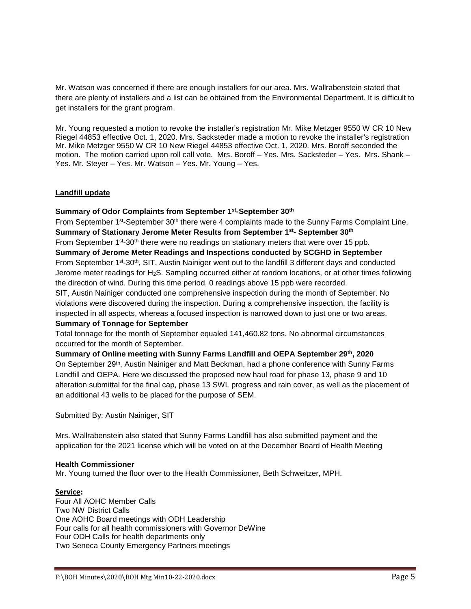Mr. Watson was concerned if there are enough installers for our area. Mrs. Wallrabenstein stated that there are plenty of installers and a list can be obtained from the Environmental Department. It is difficult to get installers for the grant program.

Mr. Young requested a motion to revoke the installer's registration Mr. Mike Metzger 9550 W CR 10 New Riegel 44853 effective Oct. 1, 2020. Mrs. Sacksteder made a motion to revoke the installer's registration Mr. Mike Metzger 9550 W CR 10 New Riegel 44853 effective Oct. 1, 2020. Mrs. Boroff seconded the motion. The motion carried upon roll call vote. Mrs. Boroff – Yes. Mrs. Sacksteder – Yes. Mrs. Shank – Yes. Mr. Steyer – Yes. Mr. Watson – Yes. Mr. Young – Yes.

## **Landfill update**

## **Summary of Odor Complaints from September 1st-September 30th**

From September 1<sup>st</sup>-September 30<sup>th</sup> there were 4 complaints made to the Sunny Farms Complaint Line. **Summary of Stationary Jerome Meter Results from September 1st- September 30th**  From September 1<sup>st</sup>-30<sup>th</sup> there were no readings on stationary meters that were over 15 ppb. **Summary of Jerome Meter Readings and Inspections conducted by SCGHD in September** From September 1<sup>st</sup>-30<sup>th</sup>, SIT, Austin Nainiger went out to the landfill 3 different days and conducted Jerome meter readings for H2S. Sampling occurred either at random locations, or at other times following the direction of wind. During this time period, 0 readings above 15 ppb were recorded.

SIT, Austin Nainiger conducted one comprehensive inspection during the month of September. No violations were discovered during the inspection. During a comprehensive inspection, the facility is inspected in all aspects, whereas a focused inspection is narrowed down to just one or two areas.

### **Summary of Tonnage for September**

Total tonnage for the month of September equaled 141,460.82 tons. No abnormal circumstances occurred for the month of September.

## **Summary of Online meeting with Sunny Farms Landfill and OEPA September 29th, 2020** On September 29th, Austin Nainiger and Matt Beckman, had a phone conference with Sunny Farms Landfill and OEPA. Here we discussed the proposed new haul road for phase 13, phase 9 and 10 alteration submittal for the final cap, phase 13 SWL progress and rain cover, as well as the placement of an additional 43 wells to be placed for the purpose of SEM.

Submitted By: Austin Nainiger, SIT

Mrs. Wallrabenstein also stated that Sunny Farms Landfill has also submitted payment and the application for the 2021 license which will be voted on at the December Board of Health Meeting

### **Health Commissioner**

Mr. Young turned the floor over to the Health Commissioner, Beth Schweitzer, MPH.

### **Service:**

Four All AOHC Member Calls Two NW District Calls One AOHC Board meetings with ODH Leadership Four calls for all health commissioners with Governor DeWine Four ODH Calls for health departments only Two Seneca County Emergency Partners meetings